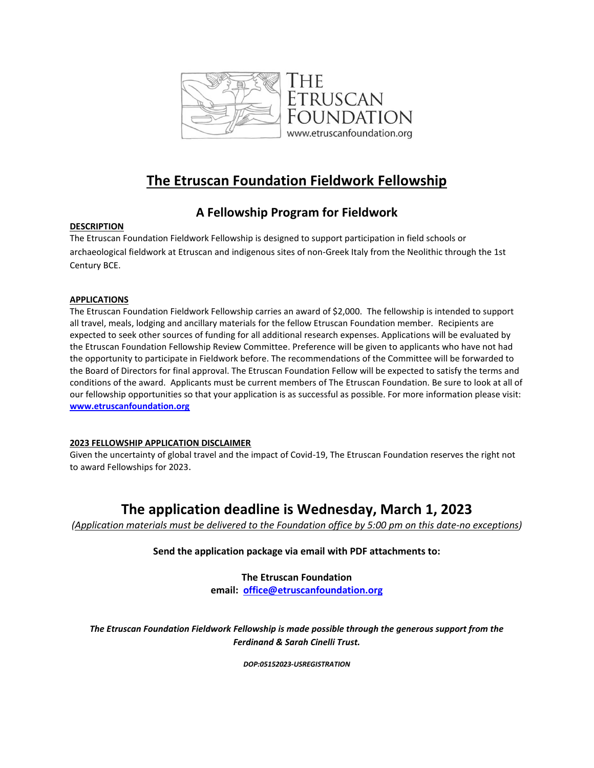

# **The Etruscan Foundation Fieldwork Fellowship**

### **A Fellowship Program for Fieldwork**

### **DESCRIPTION**

The Etruscan Foundation Fieldwork Fellowship is designed to support participation in field schools or archaeological fieldwork at Etruscan and indigenous sites of non-Greek Italy from the Neolithic through the 1st Century BCE.

#### **APPLICATIONS**

The Etruscan Foundation Fieldwork Fellowship carries an award of \$2,000. The fellowship is intended to support all travel, meals, lodging and ancillary materials for the fellow Etruscan Foundation member. Recipients are expected to seek other sources of funding for all additional research expenses. Applications will be evaluated by the Etruscan Foundation Fellowship Review Committee. Preference will be given to applicants who have not had the opportunity to participate in Fieldwork before. The recommendations of the Committee will be forwarded to the Board of Directors for final approval. The Etruscan Foundation Fellow will be expected to satisfy the terms and conditions of the award. Applicants must be current members of The Etruscan Foundation. Be sure to look at all of our fellowship opportunities so that your application is as successful as possible. For more information please visit: **[www.etruscanfoundation.org](http://www.etruscanfoundation.org/)**

#### **2023 FELLOWSHIP APPLICATION DISCLAIMER**

Given the uncertainty of global travel and the impact of Covid-19, The Etruscan Foundation reserves the right not to award Fellowships for 2023.

## **The application deadline is Wednesday, March 1, 2023**

*(Application materials must be delivered to the Foundation office by 5:00 pm on this date-no exceptions)*

**Send the application package via email with PDF attachments to:**

**The Etruscan Foundation email: [office@etruscanfoundation.org](mailto:office@etruscanfoundation.org)**

*The Etruscan Foundation Fieldwork Fellowship is made possible through the generous support from the Ferdinand & Sarah Cinelli Trust.*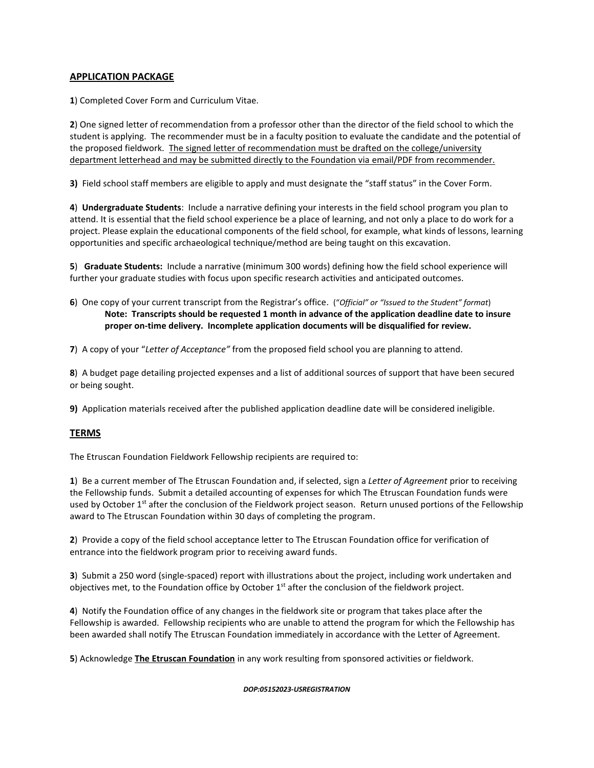#### **APPLICATION PACKAGE**

**1**) Completed Cover Form and Curriculum Vitae.

**2**) One signed letter of recommendation from a professor other than the director of the field school to which the student is applying. The recommender must be in a faculty position to evaluate the candidate and the potential of the proposed fieldwork. The signed letter of recommendation must be drafted on the college/university department letterhead and may be submitted directly to the Foundation via email/PDF from recommender.

**3)** Field school staff members are eligible to apply and must designate the "staff status" in the Cover Form.

**4**) **Undergraduate Students**: Include a narrative defining your interests in the field school program you plan to attend. It is essential that the field school experience be a place of learning, and not only a place to do work for a project. Please explain the educational components of the field school, for example, what kinds of lessons, learning opportunities and specific archaeological technique/method are being taught on this excavation.

**5**) **Graduate Students:** Include a narrative (minimum 300 words) defining how the field school experience will further your graduate studies with focus upon specific research activities and anticipated outcomes.

**6**) One copy of your current transcript from the Registrar's office. ("*Official" or "Issued to the Student" format*) **Note: Transcripts should be requested 1 month in advance of the application deadline date to insure proper on-time delivery. Incomplete application documents will be disqualified for review.**

**7**) A copy of your "*Letter of Acceptance"* from the proposed field school you are planning to attend.

**8**) A budget page detailing projected expenses and a list of additional sources of support that have been secured or being sought.

**9)** Application materials received after the published application deadline date will be considered ineligible.

#### **TERMS**

The Etruscan Foundation Fieldwork Fellowship recipients are required to:

**1**) Be a current member of The Etruscan Foundation and, if selected, sign a *Letter of Agreement* prior to receiving the Fellowship funds. Submit a detailed accounting of expenses for which The Etruscan Foundation funds were used by October  $1<sup>st</sup>$  after the conclusion of the Fieldwork project season. Return unused portions of the Fellowship award to The Etruscan Foundation within 30 days of completing the program.

**2**) Provide a copy of the field school acceptance letter to The Etruscan Foundation office for verification of entrance into the fieldwork program prior to receiving award funds.

**3**) Submit a 250 word (single-spaced) report with illustrations about the project, including work undertaken and objectives met, to the Foundation office by October 1<sup>st</sup> after the conclusion of the fieldwork project.

**4**) Notify the Foundation office of any changes in the fieldwork site or program that takes place after the Fellowship is awarded. Fellowship recipients who are unable to attend the program for which the Fellowship has been awarded shall notify The Etruscan Foundation immediately in accordance with the Letter of Agreement.

**5**) Acknowledge **The Etruscan Foundation** in any work resulting from sponsored activities or fieldwork.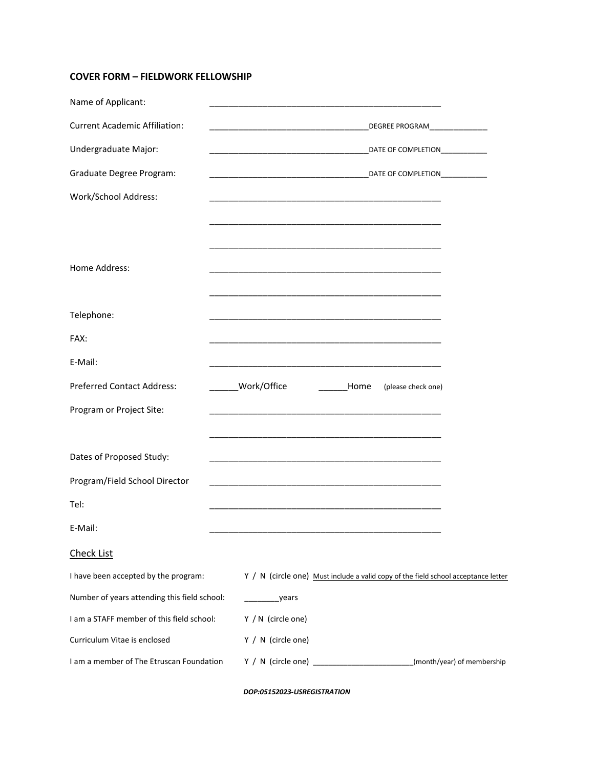### **COVER FORM – FIELDWORK FELLOWSHIP**

| Name of Applicant:                           |                                                                                                                                                           |                            |
|----------------------------------------------|-----------------------------------------------------------------------------------------------------------------------------------------------------------|----------------------------|
| <b>Current Academic Affiliation:</b>         | DEGREE PROGRAM__________________<br><u> 1989 - Johann Harry Harry Harry Harry Harry Harry Harry Harry Harry Harry Harry Harry Harry Harry Harry Harry</u> |                            |
| Undergraduate Major:                         | DATE OF COMPLETION______________                                                                                                                          |                            |
| Graduate Degree Program:                     |                                                                                                                                                           |                            |
| Work/School Address:                         |                                                                                                                                                           |                            |
|                                              |                                                                                                                                                           |                            |
|                                              |                                                                                                                                                           |                            |
| Home Address:                                |                                                                                                                                                           |                            |
|                                              |                                                                                                                                                           |                            |
| Telephone:                                   |                                                                                                                                                           |                            |
| FAX:                                         |                                                                                                                                                           |                            |
| E-Mail:                                      |                                                                                                                                                           |                            |
| <b>Preferred Contact Address:</b>            | ______Work/Office<br><b>Home</b><br>(please check one)                                                                                                    |                            |
| Program or Project Site:                     |                                                                                                                                                           |                            |
|                                              |                                                                                                                                                           |                            |
| Dates of Proposed Study:                     | <u> 1989 - Johann Barn, amerikan bernama di sebagai bernama dan bernama di sebagai bernama dalam bernama dalam b</u>                                      |                            |
| Program/Field School Director                | <u> 1989 - Johann John Stone, mars eta biztanleria (h. 1989).</u>                                                                                         |                            |
| Tel:                                         |                                                                                                                                                           |                            |
| E-Mail:                                      |                                                                                                                                                           |                            |
| <b>Check List</b>                            |                                                                                                                                                           |                            |
| I have been accepted by the program:         | Y / N (circle one) Must include a valid copy of the field school acceptance letter                                                                        |                            |
| Number of years attending this field school: | ___years                                                                                                                                                  |                            |
| I am a STAFF member of this field school:    | Y / N (circle one)                                                                                                                                        |                            |
| Curriculum Vitae is enclosed                 | Y / N (circle one)                                                                                                                                        |                            |
| I am a member of The Etruscan Foundation     | Y / N (circle one) _                                                                                                                                      | (month/year) of membership |